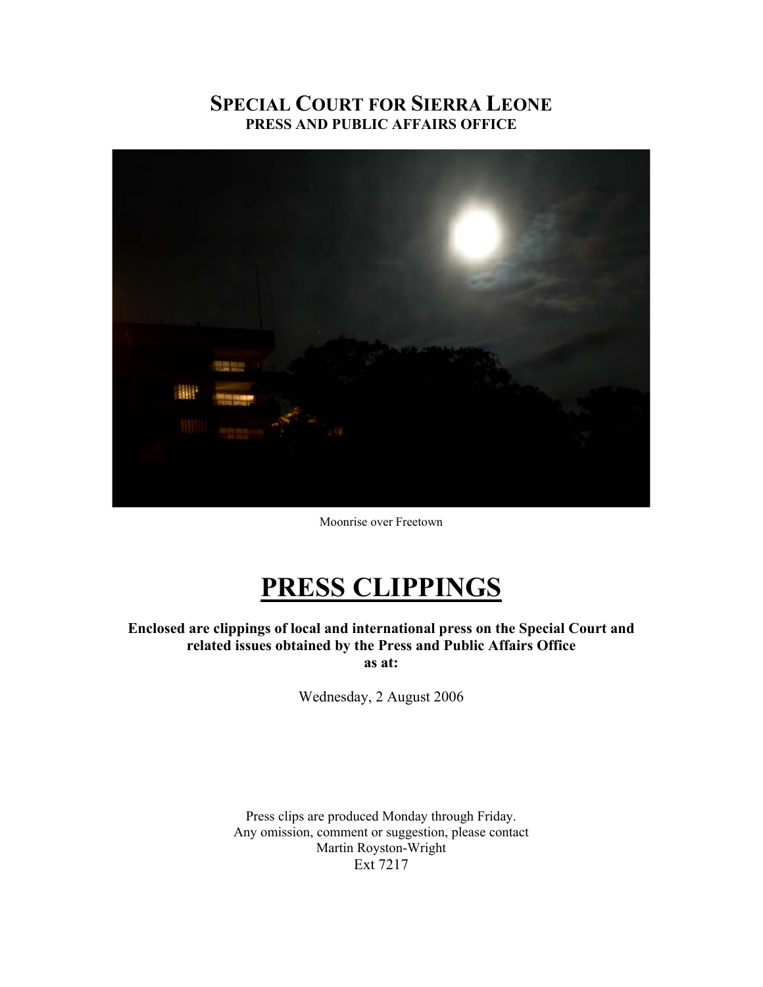# **SPECIAL COURT FOR SIERRA LEONE PRESS AND PUBLIC AFFAIRS OFFICE**



Moonrise over Freetown

# **PRESS CLIPPINGS**

**Enclosed are clippings of local and international press on the Special Court and related issues obtained by the Press and Public Affairs Office as at:** 

Wednesday, 2 August 2006

Press clips are produced Monday through Friday. Any omission, comment or suggestion, please contact Martin Royston-Wright Ext 7217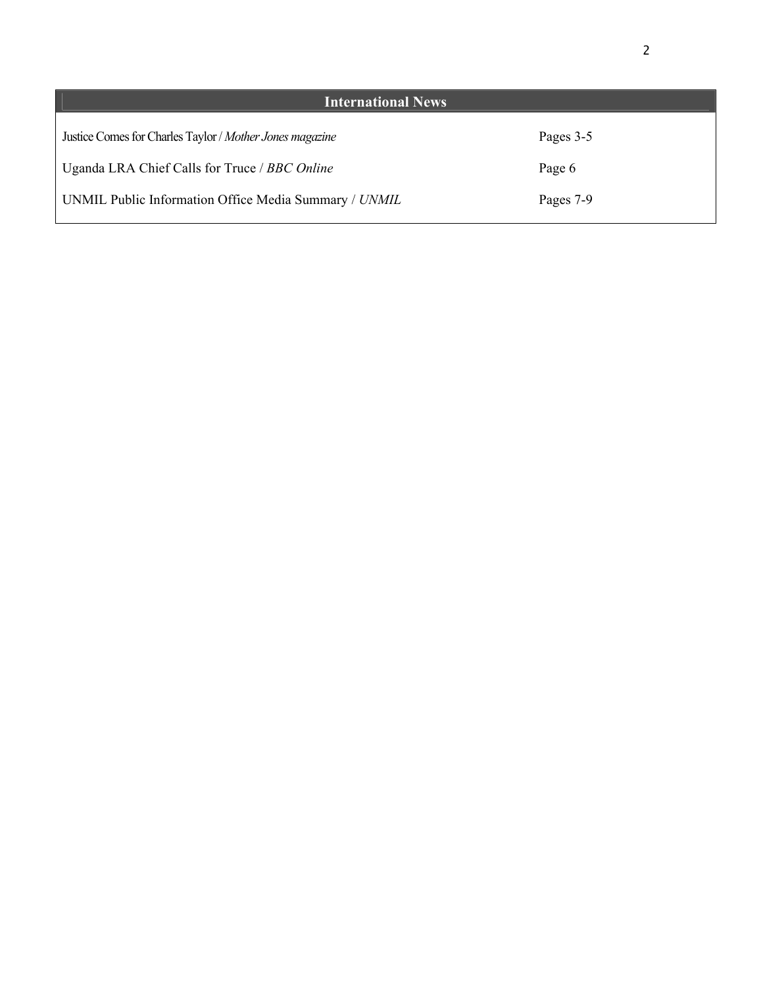| <b>International News</b>                                |           |
|----------------------------------------------------------|-----------|
| Justice Comes for Charles Taylor / Mother Jones magazine | Pages 3-5 |
| Uganda LRA Chief Calls for Truce / BBC Online            | Page 6    |
| UNMIL Public Information Office Media Summary / UNMIL    | Pages 7-9 |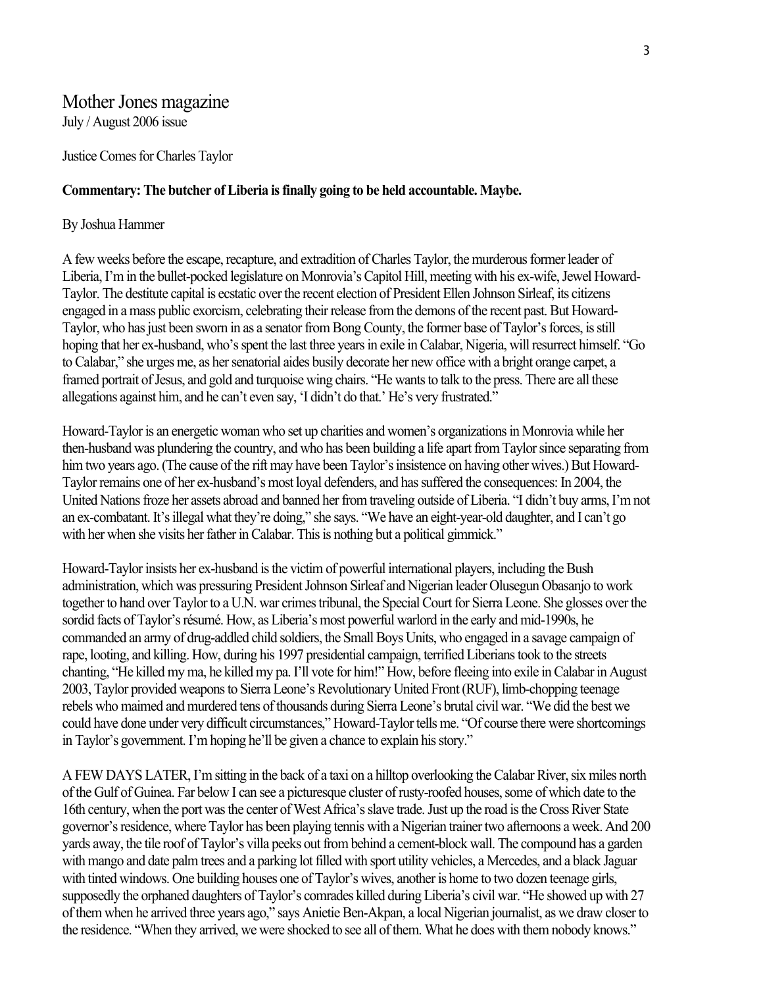# Mother Jones magazine

July / August 2006 issue

Justice Comes for Charles Taylor

## **Commentary: The butcher of Liberia is finally going to be held accountable. Maybe.**

## By Joshua Hammer

A few weeks before the escape, recapture, and extradition of Charles Taylor, the murderous former leader of Liberia, I'm in the bullet-pocked legislature on Monrovia's Capitol Hill, meeting with his ex-wife, Jewel Howard-Taylor. The destitute capital is ecstatic over the recent election of President Ellen Johnson Sirleaf, its citizens engaged in a mass public exorcism, celebrating their release from the demons of the recent past. But Howard-Taylor, who has just been sworn in as a senator from Bong County, the former base of Taylor's forces, is still hoping that her ex-husband, who's spent the last three years in exile in Calabar, Nigeria, will resurrect himself. "Go to Calabar," she urges me, as her senatorial aides busily decorate her new office with a bright orange carpet, a framed portrait of Jesus, and gold and turquoise wing chairs. "He wants to talk to the press. There are all these allegations against him, and he can't even say, 'I didn't do that.' He's very frustrated."

Howard-Taylor is an energetic woman who set up charities and women's organizations in Monrovia while her then-husband was plundering the country, and who has been building a life apart from Taylor since separating from him two years ago. (The cause of the rift may have been Taylor's insistence on having other wives.) But Howard-Taylor remains one of her ex-husband's most loyal defenders, and has suffered the consequences: In 2004, the United Nations froze her assets abroad and banned her from traveling outside of Liberia. "I didn't buy arms, I'm not an ex-combatant. It's illegal what they're doing," she says. "We have an eight-year-old daughter, and I can't go with her when she visits her father in Calabar. This is nothing but a political gimmick."

Howard-Taylor insists her ex-husband is the victim of powerful international players, including the Bush administration, which was pressuring President Johnson Sirleaf and Nigerian leader Olusegun Obasanjo to work together to hand over Taylor to a U.N. war crimes tribunal, the Special Court for Sierra Leone. She glosses over the sordid facts of Taylor's résumé. How, as Liberia's most powerful warlord in the early and mid-1990s, he commanded an army of drug-addled child soldiers, the Small Boys Units, who engaged in a savage campaign of rape, looting, and killing. How, during his 1997 presidential campaign, terrified Liberians took to the streets chanting, "He killed my ma, he killed my pa. I'll vote for him!" How, before fleeing into exile in Calabar in August 2003, Taylor provided weapons to Sierra Leone's Revolutionary United Front (RUF), limb-chopping teenage rebels who maimed and murdered tens of thousands during Sierra Leone's brutal civil war. "We did the best we could have done under very difficult circumstances," Howard-Taylor tells me. "Of course there were shortcomings in Taylor's government. I'm hoping he'll be given a chance to explain his story."

A FEW DAYS LATER, I'm sitting in the back of a taxi on a hilltop overlooking the Calabar River, six miles north of the Gulf of Guinea. Far below I can see a picturesque cluster of rusty-roofed houses, some of which date to the 16th century, when the port was the center of West Africa's slave trade. Just up the road is the Cross River State governor's residence, where Taylor has been playing tennis with a Nigerian trainer two afternoons a week. And 200 yards away, the tile roof of Taylor's villa peeks out from behind a cement-block wall. The compound has a garden with mango and date palm trees and a parking lot filled with sport utility vehicles, a Mercedes, and a black Jaguar with tinted windows. One building houses one of Taylor's wives, another is home to two dozen teenage girls, supposedly the orphaned daughters of Taylor's comrades killed during Liberia's civil war. "He showed up with 27 of them when he arrived three years ago," says Anietie Ben-Akpan, a local Nigerian journalist, as we draw closer to the residence. "When they arrived, we were shocked to see all of them. What he does with them nobody knows."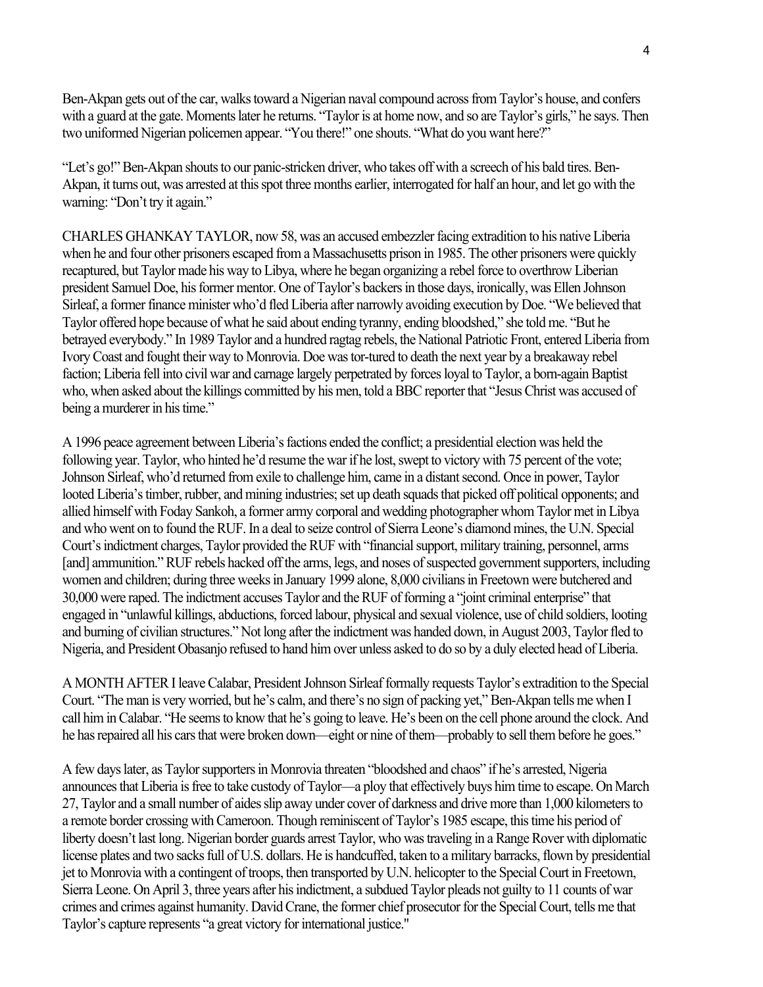Ben-Akpan gets out of the car, walks toward a Nigerian naval compound across from Taylor's house, and confers with a guard at the gate. Moments later he returns. "Taylor is at home now, and so are Taylor's girls," he says. Then two uniformed Nigerian policemen appear. "You there!" one shouts. "What do you want here?"

"Let's go!" Ben-Akpan shouts to our panic-stricken driver, who takes off with a screech of his bald tires. Ben-Akpan, it turns out, was arrested at this spot three months earlier, interrogated for half an hour, and let go with the warning: "Don't try it again."

CHARLES GHANKAY TAYLOR, now 58, was an accused embezzler facing extradition to his native Liberia when he and four other prisoners escaped from a Massachusetts prison in 1985. The other prisoners were quickly recaptured, but Taylor made his way to Libya, where he began organizing a rebel force to overthrow Liberian president Samuel Doe, his former mentor. One of Taylor's backers in those days, ironically, was Ellen Johnson Sirleaf, a former finance minister who'd fled Liberia after narrowly avoiding execution by Doe. "We believed that Taylor offered hope because of what he said about ending tyranny, ending bloodshed," she told me. "But he betrayed everybody." In 1989 Taylor and a hundred ragtag rebels, the National Patriotic Front, entered Liberia from Ivory Coast and fought their way to Monrovia. Doe was tor-tured to death the next year by a breakaway rebel faction; Liberia fell into civil war and carnage largely perpetrated by forces loyal to Taylor, a born-again Baptist who, when asked about the killings committed by his men, told a BBC reporter that "Jesus Christ was accused of being a murderer in his time."

A 1996 peace agreement between Liberia's factions ended the conflict; a presidential election was held the following year. Taylor, who hinted he'd resume the war if he lost, swept to victory with 75 percent of the vote; Johnson Sirleaf, who'd returned from exile to challenge him, came in a distant second. Once in power, Taylor looted Liberia's timber, rubber, and mining industries; set up death squads that picked off political opponents; and allied himself with Foday Sankoh, a former army corporal and wedding photographer whom Taylor met in Libya and who went on to found the RUF. In a deal to seize control of Sierra Leone's diamond mines, the U.N. Special Court's indictment charges, Taylor provided the RUF with "financial support, military training, personnel, arms [and] ammunition." RUF rebels hacked off the arms, legs, and noses of suspected government supporters, including women and children; during three weeks in January 1999 alone, 8,000 civilians in Freetown were butchered and 30,000 were raped. The indictment accuses Taylor and the RUF of forming a "joint criminal enterprise" that engaged in "unlawful killings, abductions, forced labour, physical and sexual violence, use of child soldiers, looting and burning of civilian structures." Not long after the indictment was handed down, in August 2003, Taylor fled to Nigeria, and President Obasanjo refused to hand him over unless asked to do so by a duly elected head of Liberia.

A MONTH AFTER I leave Calabar, President Johnson Sirleaf formally requests Taylor's extradition to the Special Court. "The man is very worried, but he's calm, and there's no sign of packing yet," Ben-Akpan tells me when I call him in Calabar. "He seems to know that he's going to leave. He's been on the cell phone around the clock. And he has repaired all his cars that were broken down—eight or nine of them—probably to sell them before he goes."

A few days later, as Taylor supporters in Monrovia threaten "bloodshed and chaos" if he's arrested, Nigeria announces that Liberia is free to take custody of Taylor—a ploy that effectively buys him time to escape. On March 27, Taylor and a small number of aides slip away under cover of darkness and drive more than 1,000 kilometers to a remote border crossing with Cameroon. Though reminiscent of Taylor's 1985 escape, this time his period of liberty doesn't last long. Nigerian border guards arrest Taylor, who was traveling in a Range Rover with diplomatic license plates and two sacks full of U.S. dollars. He is handcuffed, taken to a military barracks, flown by presidential jet to Monrovia with a contingent of troops, then transported by U.N. helicopter to the Special Court in Freetown, Sierra Leone. On April 3, three years after his indictment, a subdued Taylor pleads not guilty to 11 counts of war crimes and crimes against humanity. David Crane, the former chief prosecutor for the Special Court, tells me that Taylor's capture represents "a great victory for international justice."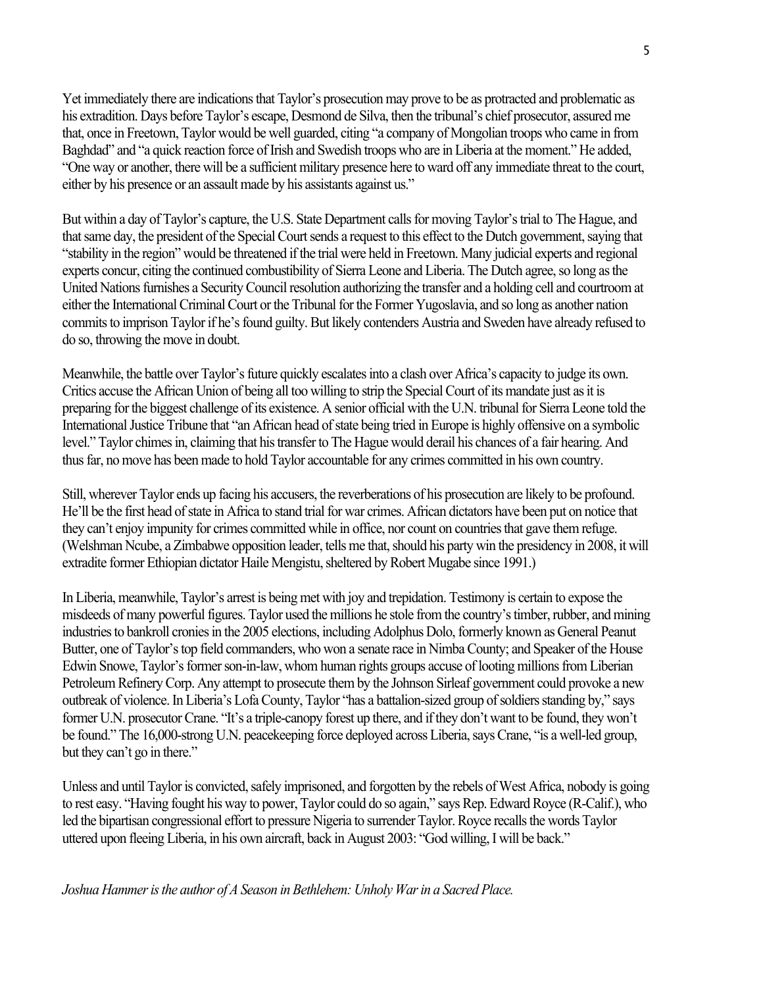Yet immediately there are indications that Taylor's prosecution may prove to be as protracted and problematic as his extradition. Days before Taylor's escape, Desmond de Silva, then the tribunal's chief prosecutor, assured me that, once in Freetown, Taylor would be well guarded, citing "a company of Mongolian troops who came in from Baghdad" and "a quick reaction force of Irish and Swedish troops who are in Liberia at the moment." He added, "One way or another, there will be a sufficient military presence here to ward off any immediate threat to the court, either by his presence or an assault made by his assistants against us."

But within a day of Taylor's capture, the U.S. State Department calls for moving Taylor's trial to The Hague, and that same day, the president of the Special Court sends a request to this effect to the Dutch government, saying that "stability in the region" would be threatened if the trial were held in Freetown. Many judicial experts and regional experts concur, citing the continued combustibility of Sierra Leone and Liberia. The Dutch agree, so long as the United Nations furnishes a Security Council resolution authorizing the transfer and a holding cell and courtroom at either the International Criminal Court or the Tribunal for the Former Yugoslavia, and so long as another nation commits to imprison Taylor if he's found guilty. But likely contenders Austria and Sweden have already refused to do so, throwing the move in doubt.

Meanwhile, the battle over Taylor's future quickly escalates into a clash over Africa's capacity to judge its own. Critics accuse the African Union of being all too willing to strip the Special Court of its mandate just as it is preparing for the biggest challenge of its existence. A senior official with the U.N. tribunal for Sierra Leone told the International Justice Tribune that "an African head of state being tried in Europe is highly offensive on a symbolic level." Taylor chimes in, claiming that his transfer to The Hague would derail his chances of a fair hearing. And thus far, no move has been made to hold Taylor accountable for any crimes committed in his own country.

Still, wherever Taylor ends up facing his accusers, the reverberations of his prosecution are likely to be profound. He'll be the first head of state in Africa to stand trial for war crimes. African dictators have been put on notice that they can't enjoy impunity for crimes committed while in office, nor count on countries that gave them refuge. (Welshman Ncube, a Zimbabwe opposition leader, tells me that, should his party win the presidency in 2008, it will extradite former Ethiopian dictator Haile Mengistu, sheltered by Robert Mugabe since 1991.)

In Liberia, meanwhile, Taylor's arrest is being met with joy and trepidation. Testimony is certain to expose the misdeeds of many powerful figures. Taylor used the millions he stole from the country's timber, rubber, and mining industries to bankroll cronies in the 2005 elections, including Adolphus Dolo, formerly known as General Peanut Butter, one of Taylor's top field commanders, who won a senate race in Nimba County; and Speaker of the House Edwin Snowe, Taylor's former son-in-law, whom human rights groups accuse of looting millions from Liberian Petroleum Refinery Corp. Any attempt to prosecute them by the Johnson Sirleaf government could provoke a new outbreak of violence. In Liberia's Lofa County, Taylor "has a battalion-sized group of soldiers standing by," says former U.N. prosecutor Crane. "It's a triple-canopy forest up there, and if they don't want to be found, they won't be found." The 16,000-strong U.N. peacekeeping force deployed across Liberia, says Crane, "is a well-led group, but they can't go in there."

Unless and until Taylor is convicted, safely imprisoned, and forgotten by the rebels of West Africa, nobody is going to rest easy. "Having fought his way to power, Taylor could do so again," says Rep. Edward Royce (R-Calif.), who led the bipartisan congressional effort to pressure Nigeria to surrender Taylor. Royce recalls the words Taylor uttered upon fleeing Liberia, in his own aircraft, back in August 2003: "God willing, I will be back."

*Joshua Hammer is the author of A Season in Bethlehem: Unholy War in a Sacred Place.*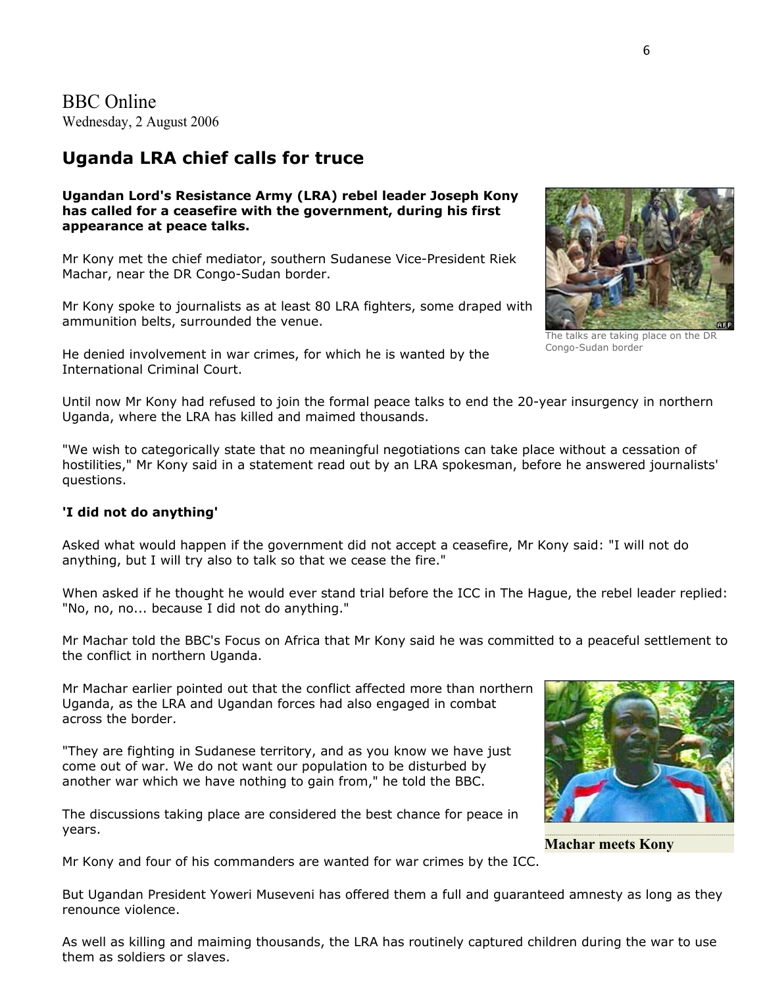BBC Online Wednesday, 2 August 2006

# **Uganda LRA chief calls for truce**

**Ugandan Lord's Resistance Army (LRA) rebel leader Joseph Kony has called for a ceasefire with the government, during his first appearance at peace talks.**

Mr Kony met the chief mediator, southern Sudanese Vice-President Riek Machar, near the DR Congo-Sudan border.

Mr Kony spoke to journalists as at least 80 LRA fighters, some draped with ammunition belts, surrounded the venue.

He denied involvement in war crimes, for which he is wanted by the International Criminal Court.



The talks are taking place on the DR Congo-Sudan border

Until now Mr Kony had refused to join the formal peace talks to end the 20-year insurgency in northern Uganda, where the LRA has killed and maimed thousands.

"We wish to categorically state that no meaningful negotiations can take place without a cessation of hostilities," Mr Kony said in a statement read out by an LRA spokesman, before he answered journalists' questions.

#### **'I did not do anything'**

Asked what would happen if the government did not accept a ceasefire, Mr Kony said: "I will not do anything, but I will try also to talk so that we cease the fire."

When asked if he thought he would ever stand trial before the ICC in The Hague, the rebel leader replied: "No, no, no... because I did not do anything."

Mr Machar told the BBC's Focus on Africa that Mr Kony said he was committed to a peaceful settlement to the conflict in northern Uganda.

Mr Machar earlier pointed out that the conflict affected more than northern Uganda, as the LRA and Ugandan forces had also engaged in combat across the border.

"They are fighting in Sudanese territory, and as you know we have just come out of war. We do not want our population to be disturbed by another war which we have nothing to gain from," he told the BBC.

The discussions taking place are considered the best chance for peace in years.



**[Machar meets Kony](http://www.bbc.co.uk/worldservice/africa/web_audio/sudan_machar.ram)**

Mr Kony and four of his commanders are wanted for war crimes by the ICC.

But Ugandan President Yoweri Museveni has offered them a full and guaranteed amnesty as long as they renounce violence.

As well as killing and maiming thousands, the LRA has routinely captured children during the war to use them as soldiers or slaves.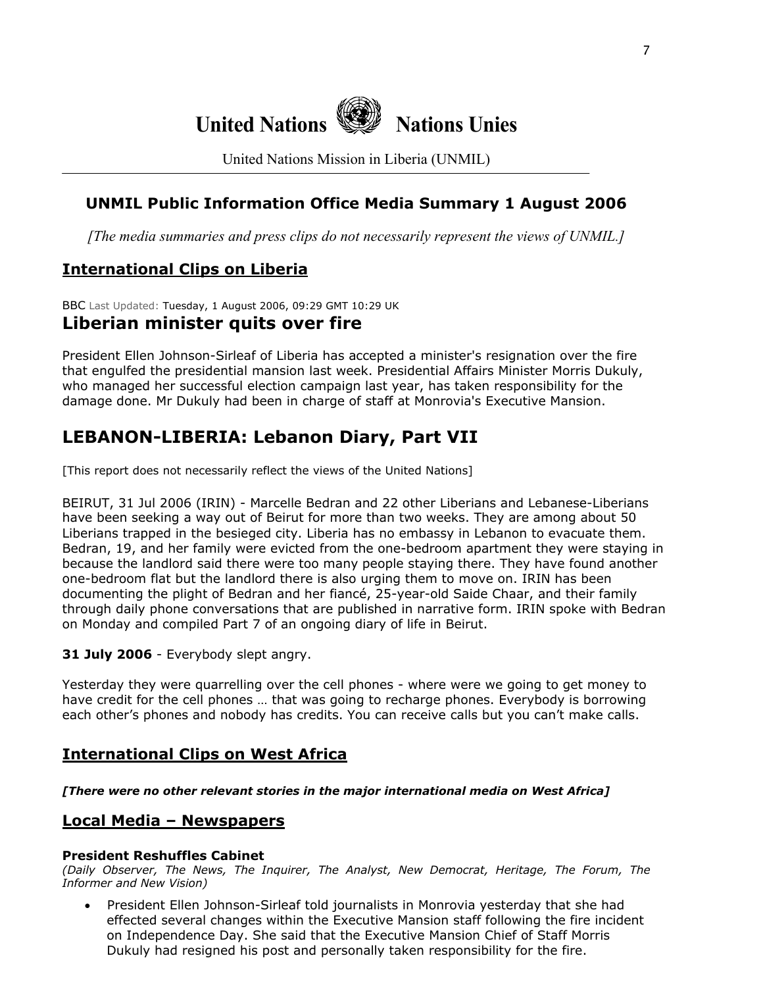

United Nations Mission in Liberia (UNMIL)

# **UNMIL Public Information Office Media Summary 1 August 2006**

*[The media summaries and press clips do not necessarily represent the views of UNMIL.]*

# **International Clips on Liberia**

BBC Last Updated: Tuesday, 1 August 2006, 09:29 GMT 10:29 UK

# **Liberian minister quits over fire**

President Ellen Johnson-Sirleaf of Liberia has accepted a minister's resignation over the fire that engulfed the presidential mansion last week. Presidential Affairs Minister Morris Dukuly, who managed her successful election campaign last year, has taken responsibility for the damage done. Mr Dukuly had been in charge of staff at Monrovia's Executive Mansion.

# **LEBANON-LIBERIA: Lebanon Diary, Part VII**

[This report does not necessarily reflect the views of the United Nations]

BEIRUT, 31 Jul 2006 (IRIN) - Marcelle Bedran and 22 other Liberians and Lebanese-Liberians have been seeking a way out of Beirut for more than two weeks. They are among about 50 Liberians trapped in the besieged city. Liberia has no embassy in Lebanon to evacuate them. Bedran, 19, and her family were evicted from the one-bedroom apartment they were staying in because the landlord said there were too many people staying there. They have found another one-bedroom flat but the landlord there is also urging them to move on. IRIN has been documenting the plight of Bedran and her fiancé, 25-year-old Saide Chaar, and their family through daily phone conversations that are published in narrative form. IRIN spoke with Bedran on Monday and compiled Part 7 of an ongoing diary of life in Beirut.

#### **31 July 2006** - Everybody slept angry.

Yesterday they were quarrelling over the cell phones - where were we going to get money to have credit for the cell phones … that was going to recharge phones. Everybody is borrowing each other's phones and nobody has credits. You can receive calls but you can't make calls.

## **International Clips on West Africa**

*[There were no other relevant stories in the major international media on West Africa]* 

## **Local Media – Newspapers**

#### **President Reshuffles Cabinet**

*(Daily Observer, The News, The Inquirer, The Analyst, New Democrat, Heritage, The Forum, The Informer and New Vision)* 

• President Ellen Johnson-Sirleaf told journalists in Monrovia yesterday that she had effected several changes within the Executive Mansion staff following the fire incident on Independence Day. She said that the Executive Mansion Chief of Staff Morris Dukuly had resigned his post and personally taken responsibility for the fire.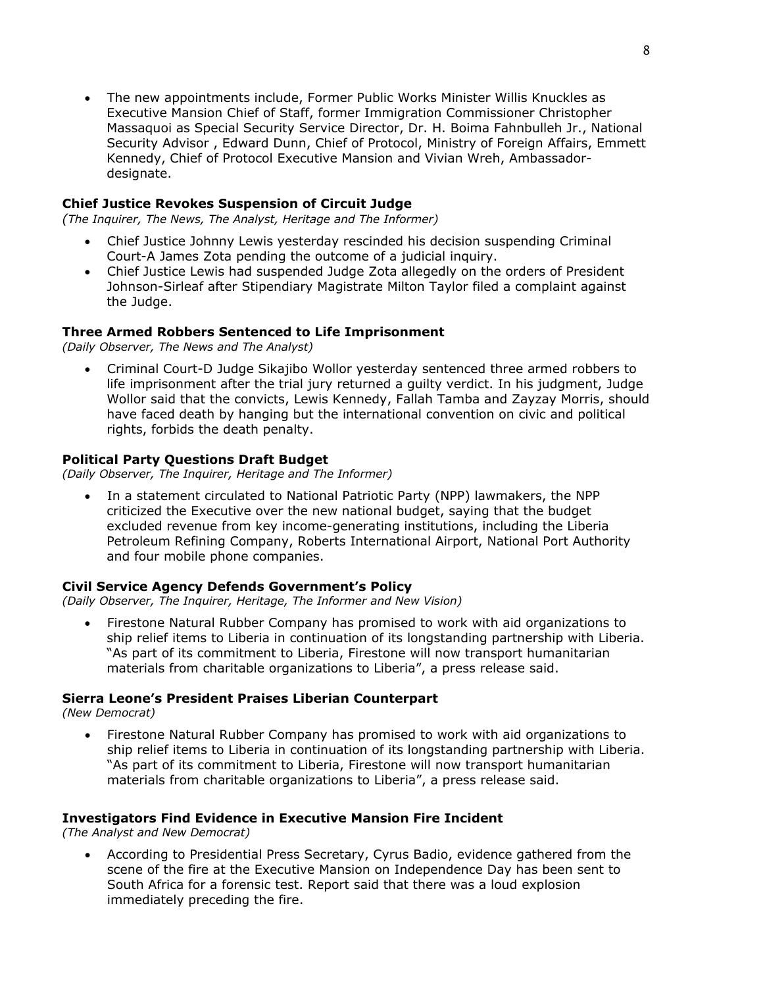• The new appointments include, Former Public Works Minister Willis Knuckles as Executive Mansion Chief of Staff, former Immigration Commissioner Christopher Massaquoi as Special Security Service Director, Dr. H. Boima Fahnbulleh Jr., National Security Advisor , Edward Dunn, Chief of Protocol, Ministry of Foreign Affairs, Emmett Kennedy, Chief of Protocol Executive Mansion and Vivian Wreh, Ambassadordesignate.

#### **Chief Justice Revokes Suspension of Circuit Judge**

*(The Inquirer, The News, The Analyst, Heritage and The Informer)*

- Chief Justice Johnny Lewis yesterday rescinded his decision suspending Criminal Court-A James Zota pending the outcome of a judicial inquiry.
- Chief Justice Lewis had suspended Judge Zota allegedly on the orders of President Johnson-Sirleaf after Stipendiary Magistrate Milton Taylor filed a complaint against the Judge.

#### **Three Armed Robbers Sentenced to Life Imprisonment**

*(Daily Observer, The News and The Analyst)*

• Criminal Court-D Judge Sikajibo Wollor yesterday sentenced three armed robbers to life imprisonment after the trial jury returned a guilty verdict. In his judgment, Judge Wollor said that the convicts, Lewis Kennedy, Fallah Tamba and Zayzay Morris, should have faced death by hanging but the international convention on civic and political rights, forbids the death penalty.

#### **Political Party Questions Draft Budget**

*(Daily Observer, The Inquirer, Heritage and The Informer)* 

• In a statement circulated to National Patriotic Party (NPP) lawmakers, the NPP criticized the Executive over the new national budget, saying that the budget excluded revenue from key income-generating institutions, including the Liberia Petroleum Refining Company, Roberts International Airport, National Port Authority and four mobile phone companies.

#### **Civil Service Agency Defends Government's Policy**

*(Daily Observer, The Inquirer, Heritage, The Informer and New Vision)*

• Firestone Natural Rubber Company has promised to work with aid organizations to ship relief items to Liberia in continuation of its longstanding partnership with Liberia. "As part of its commitment to Liberia, Firestone will now transport humanitarian materials from charitable organizations to Liberia", a press release said.

#### **Sierra Leone's President Praises Liberian Counterpart**

*(New Democrat)* 

• Firestone Natural Rubber Company has promised to work with aid organizations to ship relief items to Liberia in continuation of its longstanding partnership with Liberia. "As part of its commitment to Liberia, Firestone will now transport humanitarian materials from charitable organizations to Liberia", a press release said.

#### **Investigators Find Evidence in Executive Mansion Fire Incident**

*(The Analyst and New Democrat)* 

• According to Presidential Press Secretary, Cyrus Badio, evidence gathered from the scene of the fire at the Executive Mansion on Independence Day has been sent to South Africa for a forensic test. Report said that there was a loud explosion immediately preceding the fire.